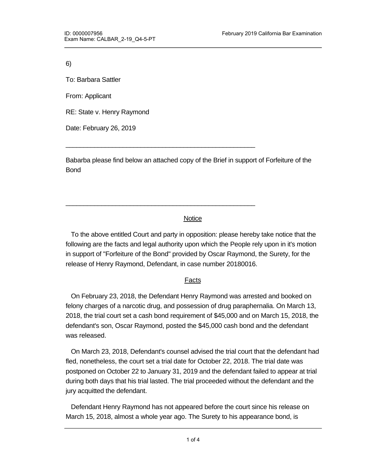6)

To: Barbara Sattler

From: Applicant

RE: State v. Henry Raymond

Date: February 26, 2019

Babarba please find below an attached copy of the Brief in support of Forfeiture of the Bond

\_\_\_\_\_\_\_\_\_\_\_\_\_\_\_\_\_\_\_\_\_\_\_\_\_\_\_\_\_\_\_\_\_\_\_\_\_\_\_\_\_\_\_\_\_\_\_\_\_\_\_\_\_

\_\_\_\_\_\_\_\_\_\_\_\_\_\_\_\_\_\_\_\_\_\_\_\_\_\_\_\_\_\_\_\_\_\_\_\_\_\_\_\_\_\_\_\_\_\_\_\_\_\_\_\_\_

### **Notice**

 To the above entitled Court and party in opposition: please hereby take notice that the following are the facts and legal authority upon which the People rely upon in it's motion in support of "Forfeiture of the Bond" provided by Oscar Raymond, the Surety, for the release of Henry Raymond, Defendant, in case number 20180016.

### Facts

 On February 23, 2018, the Defendant Henry Raymond was arrested and booked on felony charges of a narcotic drug, and possession of drug paraphernalia. On March 13, 2018, the trial court set a cash bond requirement of \$45,000 and on March 15, 2018, the defendant's son, Oscar Raymond, posted the \$45,000 cash bond and the defendant was released.

 On March 23, 2018, Defendant's counsel advised the trial court that the defendant had fled, nonetheless, the court set a trial date for October 22, 2018. The trial date was postponed on October 22 to January 31, 2019 and the defendant failed to appear at trial during both days that his trial lasted. The trial proceeded without the defendant and the jury acquitted the defendant.

 Defendant Henry Raymond has not appeared before the court since his release on March 15, 2018, almost a whole year ago. The Surety to his appearance bond, is

defendant to some Oscar Raymond who is seeking exoneration of the bond. The Surety's seeking exoneration of th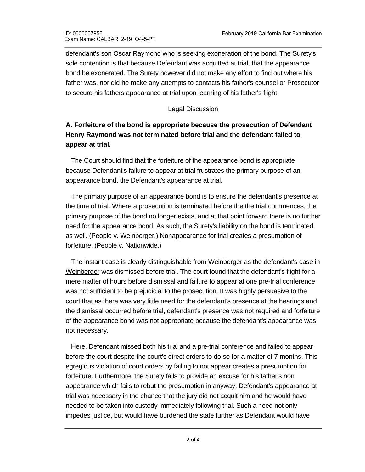defendant's son Oscar Raymond who is seeking exoneration of the bond. The Surety's sole contention is that because Defendant was acquitted at trial, that the appearance bond be exonerated. The Surety however did not make any effort to find out where his father was, nor did he make any attempts to contacts his father's counsel or Prosecutor to secure his fathers appearance at trial upon learning of his father's flight.

#### Legal Discussion

# **A. Forfeiture of the bond is appropriate because the prosecution of Defendant Henry Raymond was not terminated before trial and the defendant failed to appear at trial.**

 The Court should find that the forfeiture of the appearance bond is appropriate because Defendant's failure to appear at trial frustrates the primary purpose of an appearance bond, the Defendant's appearance at trial.

 The primary purpose of an appearance bond is to ensure the defendant's presence at the time of trial. Where a prosecution is terminated before the the trial commences, the primary purpose of the bond no longer exists, and at that point forward there is no further need for the appearance bond. As such, the Surety's liability on the bond is terminated as well. (People v. Weinberger.) Nonappearance for trial creates a presumption of forfeiture. (People v. Nationwide.)

The instant case is clearly distinguishable from Weinberger as the defendant's case in Weinberger was dismissed before trial. The court found that the defendant's flight for a mere matter of hours before dismissal and failure to appear at one pre-trial conference was not sufficient to be prejudicial to the prosecution. It was highly persuasive to the court that as there was very little need for the defendant's presence at the hearings and the dismissal occurred before trial, defendant's presence was not required and forfeiture of the appearance bond was not appropriate because the defendant's appearance was not necessary.

 Here, Defendant missed both his trial and a pre-trial conference and failed to appear before the court despite the court's direct orders to do so for a matter of 7 months. This egregious violation of court orders by failing to not appear creates a presumption for forfeiture. Furthermore, the Surety fails to provide an excuse for his father's non appearance which fails to rebut the presumption in anyway. Defendant's appearance at trial was necessary in the chance that the jury did not acquit him and he would have needed to be taken into custody immediately following trial. Such a need not only impedes justice, but would have burdened the state further as Defendant would have

become a fugitive and a manhunt would have needed to be conducted. Such an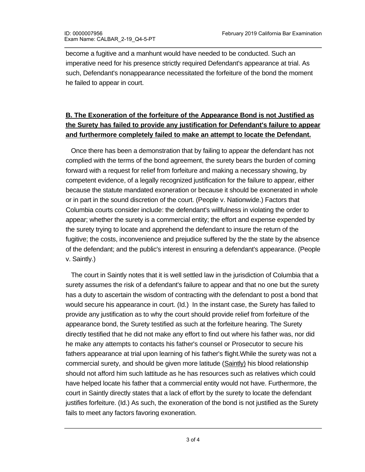become a fugitive and a manhunt would have needed to be conducted. Such an imperative need for his presence strictly required Defendant's appearance at trial. As such, Defendant's nonappearance necessitated the forfeiture of the bond the moment he failed to appear in court.

# **B. The Exoneration of the forfeiture of the Appearance Bond is not Justified as the Surety has failed to provide any justification for Defendant's failure to appear and furthermore completely failed to make an attempt to locate the Defendant.**

 Once there has been a demonstration that by failing to appear the defendant has not complied with the terms of the bond agreement, the surety bears the burden of coming forward with a request for relief from forfeiture and making a necessary showing, by competent evidence, of a legally recognized justification for the failure to appear, either because the statute mandated exoneration or because it should be exonerated in whole or in part in the sound discretion of the court. (People v. Nationwide.) Factors that Columbia courts consider include: the defendant's willfulness in violating the order to appear; whether the surety is a commercial entity; the effort and expense expended by the surety trying to locate and apprehend the defendant to insure the return of the fugitive; the costs, inconvenience and prejudice suffered by the the state by the absence of the defendant; and the public's interest in ensuring a defendant's appearance. (People v. Saintly.)

 The court in Saintly notes that it is well settled law in the jurisdiction of Columbia that a surety assumes the risk of a defendant's failure to appear and that no one but the surety has a duty to ascertain the wisdom of contracting with the defendant to post a bond that would secure his appearance in court. (Id.) In the instant case, the Surety has failed to provide any justification as to why the court should provide relief from forfeiture of the appearance bond, the Surety testified as such at the forfeiture hearing. The Surety directly testified that he did not make any effort to find out where his father was, nor did he make any attempts to contacts his father's counsel or Prosecutor to secure his fathers appearance at trial upon learning of his father's flight.While the surety was not a commercial surety, and should be given more latitude (Saintly) his blood relationship should not afford him such lattitude as he has resources such as relatives which could have helped locate his father that a commercial entity would not have. Furthermore, the court in Saintly directly states that a lack of effort by the surety to locate the defendant justifies forfeiture. (Id.) As such, the exoneration of the bond is not justified as the Surety fails to meet any factors favoring exoneration.